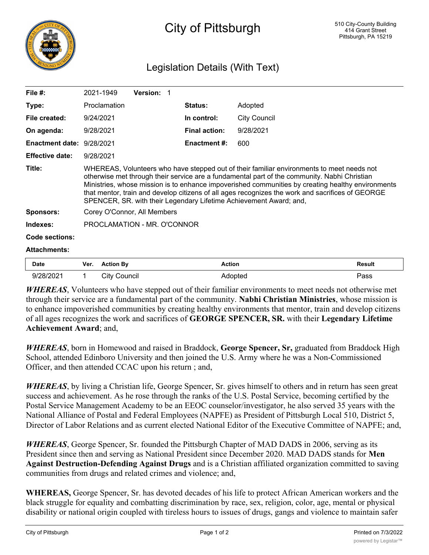

## Legislation Details (With Text)

| File $#$ :                | 2021-1949                                                                                                                                                                                                                                                                                                                                                                                                                                                                | <b>Version: 1</b> |                      |                     |  |  |
|---------------------------|--------------------------------------------------------------------------------------------------------------------------------------------------------------------------------------------------------------------------------------------------------------------------------------------------------------------------------------------------------------------------------------------------------------------------------------------------------------------------|-------------------|----------------------|---------------------|--|--|
| Type:                     | Proclamation                                                                                                                                                                                                                                                                                                                                                                                                                                                             |                   | <b>Status:</b>       | Adopted             |  |  |
| File created:             | 9/24/2021                                                                                                                                                                                                                                                                                                                                                                                                                                                                |                   | In control:          | <b>City Council</b> |  |  |
| On agenda:                | 9/28/2021                                                                                                                                                                                                                                                                                                                                                                                                                                                                |                   | <b>Final action:</b> | 9/28/2021           |  |  |
| Enactment date: 9/28/2021 |                                                                                                                                                                                                                                                                                                                                                                                                                                                                          |                   | <b>Enactment #:</b>  | 600                 |  |  |
| <b>Effective date:</b>    | 9/28/2021                                                                                                                                                                                                                                                                                                                                                                                                                                                                |                   |                      |                     |  |  |
| Title:                    | WHEREAS, Volunteers who have stepped out of their familiar environments to meet needs not<br>otherwise met through their service are a fundamental part of the community. Nabhi Christian<br>Ministries, whose mission is to enhance impoverished communities by creating healthy environments<br>that mentor, train and develop citizens of all ages recognizes the work and sacrifices of GEORGE<br>SPENCER, SR. with their Legendary Lifetime Achievement Award; and, |                   |                      |                     |  |  |
| <b>Sponsors:</b>          | Corey O'Connor, All Members                                                                                                                                                                                                                                                                                                                                                                                                                                              |                   |                      |                     |  |  |
| Indexes:                  | PROCLAMATION - MR. O'CONNOR                                                                                                                                                                                                                                                                                                                                                                                                                                              |                   |                      |                     |  |  |
| <b>Code sections:</b>     |                                                                                                                                                                                                                                                                                                                                                                                                                                                                          |                   |                      |                     |  |  |
| <b>Attachments:</b>       |                                                                                                                                                                                                                                                                                                                                                                                                                                                                          |                   |                      |                     |  |  |

| <b>Date</b> | Ver. | <b>Action By</b> | Action | Result |
|-------------|------|------------------|--------|--------|
| 9/28/2021   |      | ات<br>Council    | optea  | Pass   |

*WHEREAS*, Volunteers who have stepped out of their familiar environments to meet needs not otherwise met through their service are a fundamental part of the community. **Nabhi Christian Ministries**, whose mission is to enhance impoverished communities by creating healthy environments that mentor, train and develop citizens of all ages recognizes the work and sacrifices of **GEORGE SPENCER, SR.** with their **Legendary Lifetime Achievement Award**; and,

*WHEREAS*, born in Homewood and raised in Braddock, **George Spencer, Sr,** graduated from Braddock High School, attended Edinboro University and then joined the U.S. Army where he was a Non-Commissioned Officer, and then attended CCAC upon his return ; and,

*WHEREAS*, by living a Christian life, George Spencer, Sr. gives himself to others and in return has seen great success and achievement. As he rose through the ranks of the U.S. Postal Service, becoming certified by the Postal Service Management Academy to be an EEOC counselor/investigator, he also served 35 years with the National Alliance of Postal and Federal Employees (NAPFE) as President of Pittsburgh Local 510, District 5, Director of Labor Relations and as current elected National Editor of the Executive Committee of NAPFE; and,

*WHEREAS*, George Spencer, Sr. founded the Pittsburgh Chapter of MAD DADS in 2006, serving as its President since then and serving as National President since December 2020. MAD DADS stands for **Men Against Destruction-Defending Against Drugs** and is a Christian affiliated organization committed to saving communities from drugs and related crimes and violence; and,

**WHEREAS,** George Spencer, Sr. has devoted decades of his life to protect African American workers and the black struggle for equality and combatting discrimination by race, sex, religion, color, age, mental or physical disability or national origin coupled with tireless hours to issues of drugs, gangs and violence to maintain safer